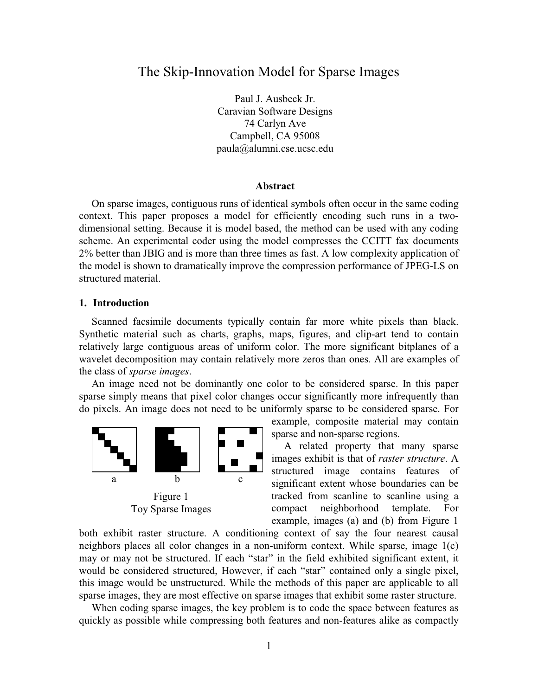# The Skip-Innovation Model for Sparse Images

Paul J. Ausbeck Jr. Caravian Software Designs 74 Carlyn Ave Campbell, CA 95008 paula@alumni.cse.ucsc.edu

# **Abstract**

On sparse images, contiguous runs of identical symbols often occur in the same coding context. This paper proposes a model for efficiently encoding such runs in a twodimensional setting. Because it is model based, the method can be used with any coding scheme. An experimental coder using the model compresses the CCITT fax documents 2% better than JBIG and is more than three times as fast. A low complexity application of the model is shown to dramatically improve the compression performance of JPEG-LS on structured material.

#### **1. Introduction**

Scanned facsimile documents typically contain far more white pixels than black. Synthetic material such as charts, graphs, maps, figures, and clip-art tend to contain relatively large contiguous areas of uniform color. The more significant bitplanes of a wavelet decomposition may contain relatively more zeros than ones. All are examples of the class of *sparse images*.

An image need not be dominantly one color to be considered sparse. In this paper sparse simply means that pixel color changes occur significantly more infrequently than do pixels. An image does not need to be uniformly sparse to be considered sparse. For



example, composite material may contain sparse and non-sparse regions.

A related property that many sparse images exhibit is that of *raster structure*. A structured image contains features of significant extent whose boundaries can be tracked from scanline to scanline using a compact neighborhood template. For example, images (a) and (b) from Figure 1

both exhibit raster structure. A conditioning context of say the four nearest causal neighbors places all color changes in a non-uniform context. While sparse, image 1(c) may or may not be structured. If each "star" in the field exhibited significant extent, it would be considered structured, However, if each "star" contained only a single pixel, this image would be unstructured. While the methods of this paper are applicable to all sparse images, they are most effective on sparse images that exhibit some raster structure.

When coding sparse images, the key problem is to code the space between features as quickly as possible while compressing both features and non-features alike as compactly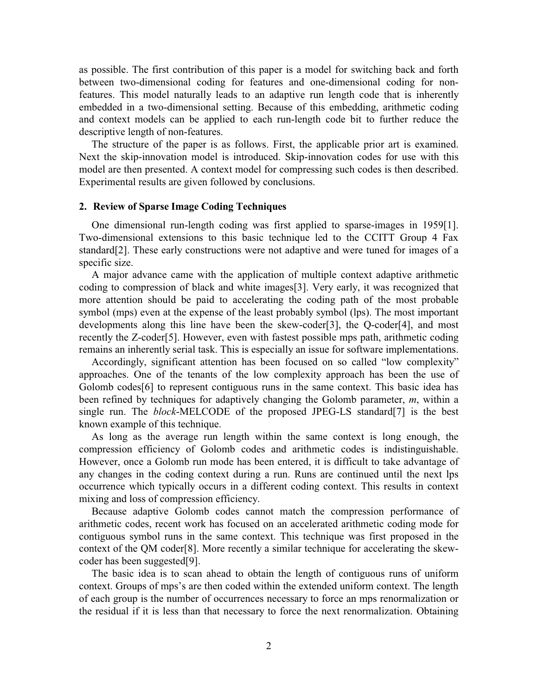as possible. The first contribution of this paper is a model for switching back and forth between two-dimensional coding for features and one-dimensional coding for nonfeatures. This model naturally leads to an adaptive run length code that is inherently embedded in a two-dimensional setting. Because of this embedding, arithmetic coding and context models can be applied to each run-length code bit to further reduce the descriptive length of non-features.

The structure of the paper is as follows. First, the applicable prior art is examined. Next the skip-innovation model is introduced. Skip-innovation codes for use with this model are then presented. A context model for compressing such codes is then described. Experimental results are given followed by conclusions.

### **2. Review of Sparse Image Coding Techniques**

One dimensional run-length coding was first applied to sparse-images in 1959[1]. Two-dimensional extensions to this basic technique led to the CCITT Group 4 Fax standard[2]. These early constructions were not adaptive and were tuned for images of a specific size.

A major advance came with the application of multiple context adaptive arithmetic coding to compression of black and white images[3]. Very early, it was recognized that more attention should be paid to accelerating the coding path of the most probable symbol (mps) even at the expense of the least probably symbol (lps). The most important developments along this line have been the skew-coder[3], the Q-coder[4], and most recently the Z-coder[5]. However, even with fastest possible mps path, arithmetic coding remains an inherently serial task. This is especially an issue for software implementations.

Accordingly, significant attention has been focused on so called "low complexity" approaches. One of the tenants of the low complexity approach has been the use of Golomb codes[6] to represent contiguous runs in the same context. This basic idea has been refined by techniques for adaptively changing the Golomb parameter, *m*, within a single run. The *block*-MELCODE of the proposed JPEG-LS standard[7] is the best known example of this technique.

As long as the average run length within the same context is long enough, the compression efficiency of Golomb codes and arithmetic codes is indistinguishable. However, once a Golomb run mode has been entered, it is difficult to take advantage of any changes in the coding context during a run. Runs are continued until the next lps occurrence which typically occurs in a different coding context. This results in context mixing and loss of compression efficiency.

Because adaptive Golomb codes cannot match the compression performance of arithmetic codes, recent work has focused on an accelerated arithmetic coding mode for contiguous symbol runs in the same context. This technique was first proposed in the context of the QM coder[8]. More recently a similar technique for accelerating the skewcoder has been suggested[9].

The basic idea is to scan ahead to obtain the length of contiguous runs of uniform context. Groups of mps's are then coded within the extended uniform context. The length of each group is the number of occurrences necessary to force an mps renormalization or the residual if it is less than that necessary to force the next renormalization. Obtaining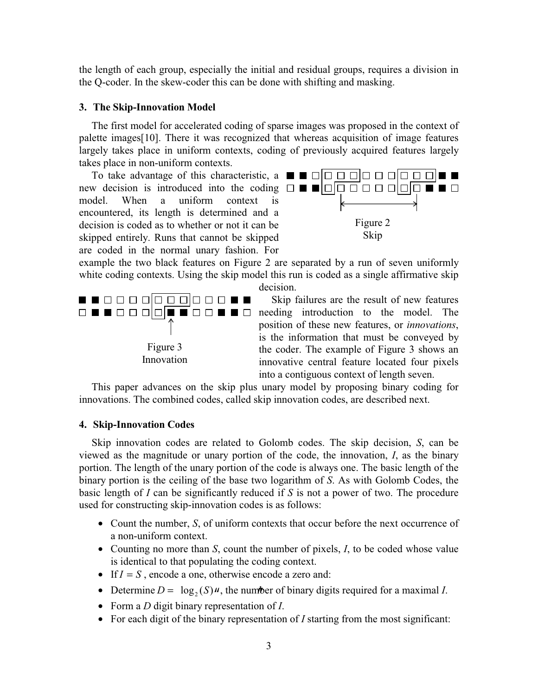the length of each group, especially the initial and residual groups, requires a division in the Q-coder. In the skew-coder this can be done with shifting and masking.

# **3. The Skip-Innovation Model**

The first model for accelerated coding of sparse images was proposed in the context of palette images[10]. There it was recognized that whereas acquisition of image features largely takes place in uniform contexts, coding of previously acquired features largely takes place in non-uniform contexts.

To take advantage of this characteristic, a  $\blacksquare \blacksquare \square \square \square \square \square \square \square \square \square \square \blacksquare$ new decision is introduced into the coding  $\Box \blacksquare \blacksquare \Box \Box \Box \Box \Box \Box \Box \Box \Box \blacksquare$ model. When a uniform context is encountered, its length is determined and a decision is coded as to whether or not it can be skipped entirely. Runs that cannot be skipped are coded in the normal unary fashion. For



example the two black features on Figure 2 are separated by a run of seven uniformly white coding contexts. Using the skip model this run is coded as a single affirmative skip decision.



Skip failures are the result of new features needing introduction to the model. The position of these new features, or *innovations*, is the information that must be conveyed by the coder. The example of Figure 3 shows an innovative central feature located four pixels into a contiguous context of length seven.

This paper advances on the skip plus unary model by proposing binary coding for innovations. The combined codes, called skip innovation codes, are described next.

# **4. Skip-Innovation Codes**

Skip innovation codes are related to Golomb codes. The skip decision, *S*, can be viewed as the magnitude or unary portion of the code, the innovation, *I*, as the binary portion. The length of the unary portion of the code is always one. The basic length of the binary portion is the ceiling of the base two logarithm of *S*. As with Golomb Codes, the basic length of *I* can be significantly reduced if *S* is not a power of two. The procedure used for constructing skip-innovation codes is as follows:

- Count the number, *S*, of uniform contexts that occur before the next occurrence of a non-uniform context.
- Counting no more than *S*, count the number of pixels, *I*, to be coded whose value is identical to that populating the coding context.
- If  $I = S$ , encode a one, otherwise encode a zero and:
- Determine  $D = \log_2(S)$  w, the number of binary digits required for a maximal *I*.
- Form a *D* digit binary representation of *I*.
- For each digit of the binary representation of *I* starting from the most significant: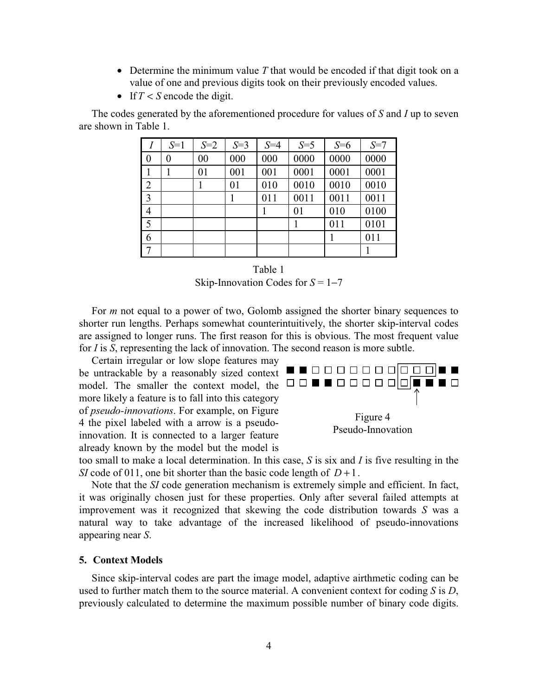- Determine the minimum value T that would be encoded if that digit took on a value of one and previous digits took on their previously encoded values.
- If  $T < S$  encode the digit.

The codes generated by the aforementioned procedure for values of *S* and *I* up to seven are shown in Table 1.

|                  | $S=1$          | $S=2$ | $S = 3$ | $S = 4$ | $S = 5$ | $S=6$ | $S=7$ |
|------------------|----------------|-------|---------|---------|---------|-------|-------|
| $\boldsymbol{0}$ | $\overline{0}$ | 00    | 000     | 000     | 0000    | 0000  | 0000  |
|                  |                | 01    | 001     | 001     | 0001    | 0001  | 0001  |
| $\overline{2}$   |                |       | 01      | 010     | 0010    | 0010  | 0010  |
| $\overline{3}$   |                |       |         | 011     | 0011    | 0011  | 0011  |
| $\overline{4}$   |                |       |         |         | 01      | 010   | 0100  |
| 5                |                |       |         |         |         | 011   | 0101  |
| 6                |                |       |         |         |         |       | 011   |
| $\tau$           |                |       |         |         |         |       |       |

Table 1 Skip-Innovation Codes for  $S = 1-7$ 

For *m* not equal to a power of two, Golomb assigned the shorter binary sequences to shorter run lengths. Perhaps somewhat counterintuitively, the shorter skip-interval codes are assigned to longer runs. The first reason for this is obvious. The most frequent value for *I* is *S*, representing the lack of innovation. The second reason is more subtle.

Certain irregular or low slope features may be untrackable by a reasonably sized context  $\blacksquare \blacksquare \square \square \square \square \square \square \square \square \square \square \blacksquare$ model. The smaller the context model, the more likely a feature is to fall into this category of *pseudo-innovations*. For example, on Figure 4 the pixel labeled with a arrow is a pseudoinnovation. It is connected to a larger feature already known by the model but the model is



too small to make a local determination. In this case, *S* is six and *I* is five resulting in the *SI* code of 011, one bit shorter than the basic code length of  $D+1$ .

Note that the *SI* code generation mechanism is extremely simple and efficient. In fact, it was originally chosen just for these properties. Only after several failed attempts at improvement was it recognized that skewing the code distribution towards *S* was a natural way to take advantage of the increased likelihood of pseudo-innovations appearing near *S*.

# **5. Context Models**

Since skip-interval codes are part the image model, adaptive airthmetic coding can be used to further match them to the source material. A convenient context for coding *S* is *D*, previously calculated to determine the maximum possible number of binary code digits.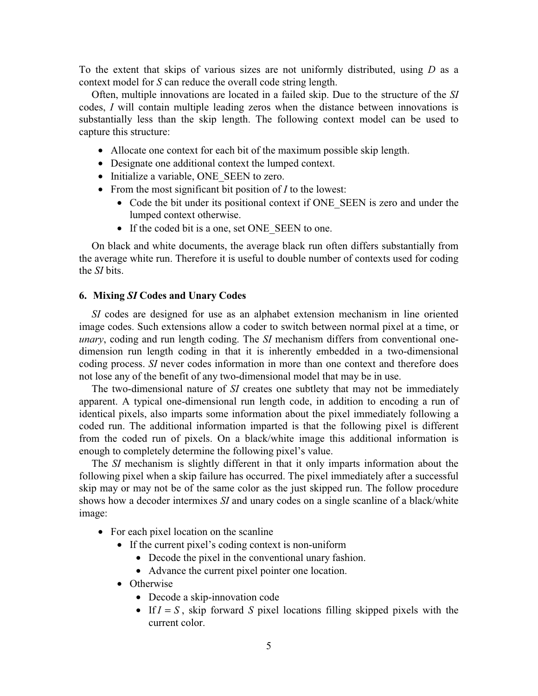To the extent that skips of various sizes are not uniformly distributed, using *D* as a context model for *S* can reduce the overall code string length.

Often, multiple innovations are located in a failed skip. Due to the structure of the *SI* codes, *I* will contain multiple leading zeros when the distance between innovations is substantially less than the skip length. The following context model can be used to capture this structure:

- Allocate one context for each bit of the maximum possible skip length.
- Designate one additional context the lumped context.
- Initialize a variable, ONE SEEN to zero.
- From the most significant bit position of *I* to the lowest:
	- Code the bit under its positional context if ONE SEEN is zero and under the lumped context otherwise.
	- If the coded bit is a one, set ONE SEEN to one.

On black and white documents, the average black run often differs substantially from the average white run. Therefore it is useful to double number of contexts used for coding the *SI* bits.

### **6. Mixing** *SI* **Codes and Unary Codes**

*SI* codes are designed for use as an alphabet extension mechanism in line oriented image codes. Such extensions allow a coder to switch between normal pixel at a time, or *unary*, coding and run length coding. The *SI* mechanism differs from conventional onedimension run length coding in that it is inherently embedded in a two-dimensional coding process. *SI* never codes information in more than one context and therefore does not lose any of the benefit of any two-dimensional model that may be in use.

The two-dimensional nature of *SI* creates one subtlety that may not be immediately apparent. A typical one-dimensional run length code, in addition to encoding a run of identical pixels, also imparts some information about the pixel immediately following a coded run. The additional information imparted is that the following pixel is different from the coded run of pixels. On a black/white image this additional information is enough to completely determine the following pixel's value.

The *SI* mechanism is slightly different in that it only imparts information about the following pixel when a skip failure has occurred. The pixel immediately after a successful skip may or may not be of the same color as the just skipped run. The follow procedure shows how a decoder intermixes *SI* and unary codes on a single scanline of a black/white image:

- For each pixel location on the scanline
	- If the current pixel's coding context is non-uniform
		- Decode the pixel in the conventional unary fashion.
		- Advance the current pixel pointer one location.
	- Otherwise
		- Decode a skip-innovation code
		- If  $I = S$ , skip forward *S* pixel locations filling skipped pixels with the current color.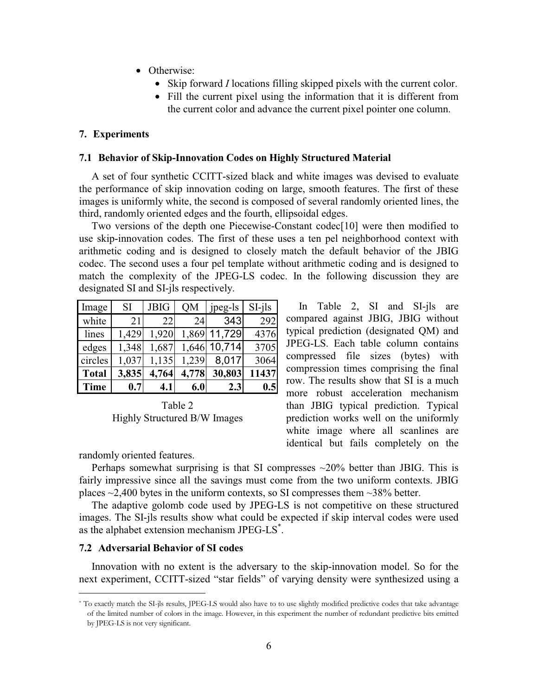- Otherwise:
	- Skip forward *I* locations filling skipped pixels with the current color.
	- Fill the current pixel using the information that it is different from the current color and advance the current pixel pointer one column.

# **7. Experiments**

#### **7.1 Behavior of Skip-Innovation Codes on Highly Structured Material**

A set of four synthetic CCITT-sized black and white images was devised to evaluate the performance of skip innovation coding on large, smooth features. The first of these images is uniformly white, the second is composed of several randomly oriented lines, the third, randomly oriented edges and the fourth, ellipsoidal edges.

Two versions of the depth one Piecewise-Constant codec[10] were then modified to use skip-innovation codes. The first of these uses a ten pel neighborhood context with arithmetic coding and is designed to closely match the default behavior of the JBIG codec. The second uses a four pel template without arithmetic coding and is designed to match the complexity of the JPEG-LS codec. In the following discussion they are designated SI and SI-jls respectively.

| Image        | SI.   | <b>JBIG</b> | <b>OM</b> | jpeg-ls | $SI-ils$ |
|--------------|-------|-------------|-----------|---------|----------|
| white        | 21    | 22          | 24        | 343     | 292      |
| lines        | 1,429 | 1,920       | 1,869     | 11,729  | 4376     |
| edges        | 1,348 | 1,687       | 1,646     | 10,714  | 3705     |
| circles      | 1,037 | 1,135       | 1,239     | 8,017   | 3064     |
| <b>Total</b> | 3,835 | 4,764       | 4,778     | 30,803  | 11437    |
| <b>Time</b>  | 0.7   | 4.1         | 6.0       | 2.3     | 0.5      |

Table 2 Highly Structured B/W Images

In Table 2, SI and SI-jls are compared against JBIG, JBIG without typical prediction (designated QM) and JPEG-LS. Each table column contains compressed file sizes (bytes) with compression times comprising the final row. The results show that SI is a much more robust acceleration mechanism than JBIG typical prediction. Typical prediction works well on the uniformly white image where all scanlines are identical but fails completely on the

randomly oriented features.

Perhaps somewhat surprising is that SI compresses  $\sim$ 20% better than JBIG. This is fairly impressive since all the savings must come from the two uniform contexts. JBIG places  $\sim$ 2,400 bytes in the uniform contexts, so SI compresses them  $\sim$ 38% better.

The adaptive golomb code used by JPEG-LS is not competitive on these structured images. The SI-jls results show what could be expected if skip interval codes were used as the alphabet extension mechanism JPEG-LS<sup>\*</sup>.

### **7.2 Adversarial Behavior of SI codes**

Innovation with no extent is the adversary to the skip-innovation model. So for the next experiment, CCITT-sized "star fields" of varying density were synthesized using a

<sup>\*</sup> To exactly match the SI-jls results, JPEG-LS would also have to to use slightly modified predictive codes that take advantage of the limited number of colors in the image. However, in this experiment the number of redundant predictive bits emitted by JPEG-LS is not very significant.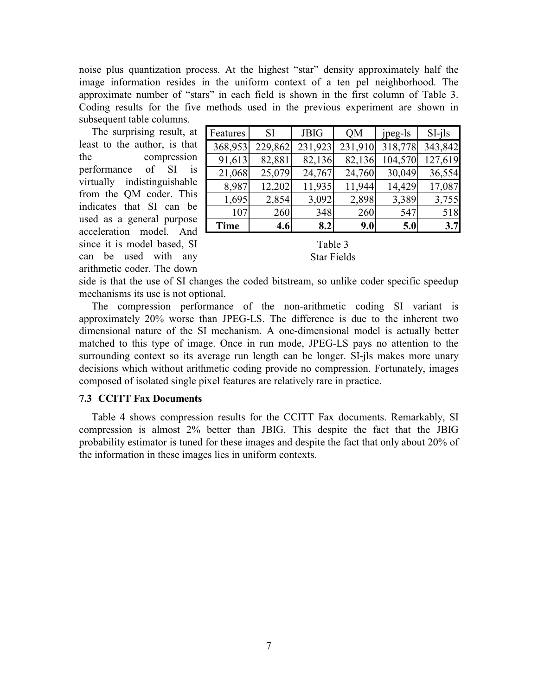noise plus quantization process. At the highest "star" density approximately half the image information resides in the uniform context of a ten pel neighborhood. The approximate number of "stars" in each field is shown in the first column of Table 3. Coding results for the five methods used in the previous experiment are shown in subsequent table columns.

The surprising result, at least to the author, is that the compression performance of SI is virtually indistinguishable from the QM coder. This indicates that SI can be used as a general purpose acceleration model. And since it is model based, SI can be used with any arithmetic coder. The down

| Features    | SI      | <b>JBIG</b> | <b>OM</b> | jpeg-ls | $SI-ils$ |
|-------------|---------|-------------|-----------|---------|----------|
| 368,953     | 229,862 | 231,923     | 231,910   | 318,778 | 343,842  |
| 91,613      | 82,881  | 82,136      | 82,136    | 104,570 | 127,619  |
| 21,068      | 25,079  | 24,767      | 24,760    | 30,049  | 36,554   |
| 8,987       | 12,202  | 11,935      | 11,944    | 14,429  | 17,087   |
| 1,695       | 2,854   | 3,092       | 2,898     | 3,389   | 3,755    |
| 107         | 260     | 348         | 260       | 547     | 518      |
| <b>Time</b> | 4.6     | 8.2         | 9.0       | 5.0     | 3.7      |

| Table 3     |
|-------------|
| Star Fields |

side is that the use of SI changes the coded bitstream, so unlike coder specific speedup mechanisms its use is not optional.

The compression performance of the non-arithmetic coding SI variant is approximately 20% worse than JPEG-LS. The difference is due to the inherent two dimensional nature of the SI mechanism. A one-dimensional model is actually better matched to this type of image. Once in run mode, JPEG-LS pays no attention to the surrounding context so its average run length can be longer. SI-jls makes more unary decisions which without arithmetic coding provide no compression. Fortunately, images composed of isolated single pixel features are relatively rare in practice.

### **7.3 CCITT Fax Documents**

Table 4 shows compression results for the CCITT Fax documents. Remarkably, SI compression is almost 2% better than JBIG. This despite the fact that the JBIG probability estimator is tuned for these images and despite the fact that only about 20% of the information in these images lies in uniform contexts.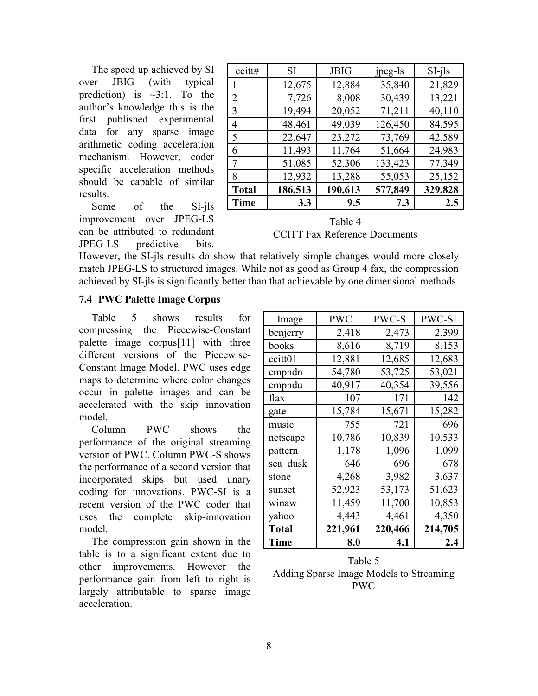The speed up achieved by SI over JBIG (with typical prediction) is  $\sim 3:1$ . To the author's knowledge this is the first published experimental data for any sparse image arithmetic coding acceleration mechanism. However, coder specific acceleration methods should be capable of similar results.

Some of the SI-jls improvement over JPEG-LS can be attributed to redundant JPEG-LS predictive bits.

| ccitt#         | <b>SI</b> | <b>JBIG</b> | jpeg-ls | $SI-ils$ |
|----------------|-----------|-------------|---------|----------|
|                | 12,675    | 12,884      | 35,840  | 21,829   |
| $\overline{2}$ | 7,726     | 8,008       | 30,439  | 13,221   |
| 3              | 19,494    | 20,052      | 71,211  | 40,110   |
| 4              | 48,461    | 49,039      | 126,450 | 84,595   |
| 5              | 22,647    | 23,272      | 73,769  | 42,589   |
| 6              | 11,493    | 11,764      | 51,664  | 24,983   |
| 7              | 51,085    | 52,306      | 133,423 | 77,349   |
| 8              | 12,932    | 13,288      | 55,053  | 25,152   |
| <b>Total</b>   | 186,513   | 190,613     | 577,849 | 329,828  |
| <b>Time</b>    | 3.3       | 9.5         | 7.3     | 2.5      |

Table 4 CCITT Fax Reference Documents

However, the SI-jls results do show that relatively simple changes would more closely match JPEG-LS to structured images. While not as good as Group 4 fax, the compression achieved by SI-jls is significantly better than that achievable by one dimensional methods.

# **7.4 PWC Palette Image Corpus**

Table 5 shows results for compressing the Piecewise-Constant palette image corpus[11] with three different versions of the Piecewise-Constant Image Model. PWC uses edge maps to determine where color changes occur in palette images and can be accelerated with the skip innovation model.

Column PWC shows the performance of the original streaming version of PWC. Column PWC-S shows the performance of a second version that incorporated skips but used unary coding for innovations. PWC-SI is a recent version of the PWC coder that uses the complete skip-innovation model.

The compression gain shown in the table is to a significant extent due to other improvements. However the performance gain from left to right is largely attributable to sparse image acceleration.

| Image        | <b>PWC</b> | PWC-S   | PWC-SI  |
|--------------|------------|---------|---------|
| benjerry     | 2,418      | 2,473   | 2,399   |
| books        | 8,616      | 8,719   | 8,153   |
| ccitt01      | 12,881     | 12,685  | 12,683  |
| cmpndn       | 54,780     | 53,725  | 53,021  |
| cmpndu       | 40,917     | 40,354  | 39,556  |
| flax         | 107        | 171     | 142     |
| gate         | 15,784     | 15,671  | 15,282  |
| music        | 755        | 721     | 696     |
| netscape     | 10,786     | 10,839  | 10,533  |
| pattern      | 1,178      | 1,096   | 1,099   |
| sea dusk     | 646        | 696     | 678     |
| stone        | 4,268      | 3,982   | 3,637   |
| sunset       | 52,923     | 53,173  | 51,623  |
| winaw        | 11,459     | 11,700  | 10,853  |
| yahoo        | 4,443      | 4,461   | 4,350   |
| <b>Total</b> | 221,961    | 220,466 | 214,705 |
| <b>Time</b>  | 8.0        | 4.1     | 2.4     |

Table 5 Adding Sparse Image Models to Streaming PWC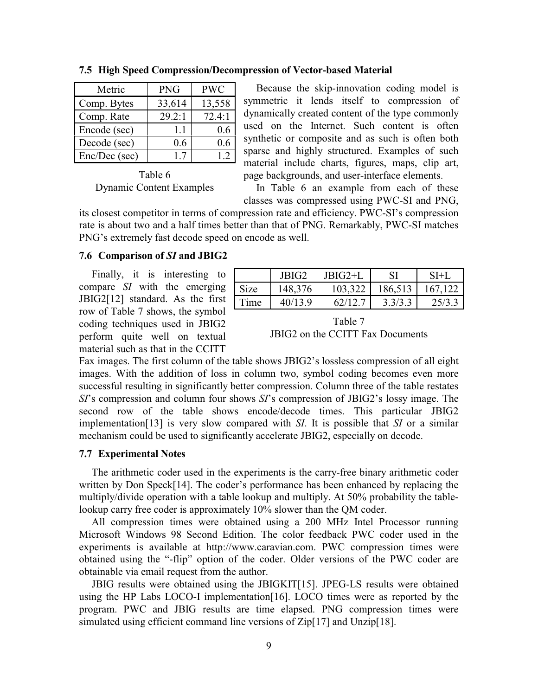| Metric        | <b>PNG</b> | <b>PWC</b> |
|---------------|------------|------------|
| Comp. Bytes   | 33,614     | 13,558     |
| Comp. Rate    | 29.2:1     | 72.4:1     |
| Encode (sec)  | 1.1        | 0.6        |
| Decode (sec)  | 0.6        | 0.6        |
| Enc/Dec (sec) | 17         | 12         |

**7.5 High Speed Compression/Decompression of Vector-based Material**

Table 6 Dynamic Content Examples

Because the skip-innovation coding model is symmetric it lends itself to compression of dynamically created content of the type commonly used on the Internet. Such content is often synthetic or composite and as such is often both sparse and highly structured. Examples of such material include charts, figures, maps, clip art, page backgrounds, and user-interface elements.

In Table 6 an example from each of these classes was compressed using PWC-SI and PNG,

its closest competitor in terms of compression rate and efficiency. PWC-SI's compression rate is about two and a half times better than that of PNG. Remarkably, PWC-SI matches PNG's extremely fast decode speed on encode as well.

# **7.6 Comparison of** *SI* **and JBIG2**

Finally, it is interesting to compare *SI* with the emerging JBIG2[12] standard. As the first row of Table 7 shows, the symbol coding techniques used in JBIG2 perform quite well on textual material such as that in the CCITT

|      | JBIG2   | JBIG2+L |         | $SI+I$  |
|------|---------|---------|---------|---------|
| Size | 148,376 | 103,322 | 186,513 | 167,122 |
| Time | 40/13.9 | 62/12.7 | 3.3/3.3 | 25/3.3  |

Table 7 JBIG2 on the CCITT Fax Documents

Fax images. The first column of the table shows JBIG2's lossless compression of all eight images. With the addition of loss in column two, symbol coding becomes even more successful resulting in significantly better compression. Column three of the table restates *SI*'s compression and column four shows *SI*'s compression of JBIG2's lossy image. The second row of the table shows encode/decode times. This particular JBIG2 implementation[13] is very slow compared with *SI*. It is possible that *SI* or a similar mechanism could be used to significantly accelerate JBIG2, especially on decode.

# **7.7 Experimental Notes**

The arithmetic coder used in the experiments is the carry-free binary arithmetic coder written by Don Speck[14]. The coder's performance has been enhanced by replacing the multiply/divide operation with a table lookup and multiply. At 50% probability the tablelookup carry free coder is approximately 10% slower than the QM coder.

All compression times were obtained using a 200 MHz Intel Processor running Microsoft Windows 98 Second Edition. The color feedback PWC coder used in the experiments is available at http://www.caravian.com. PWC compression times were obtained using the "-flip" option of the coder. Older versions of the PWC coder are obtainable via email request from the author.

JBIG results were obtained using the JBIGKIT[15]. JPEG-LS results were obtained using the HP Labs LOCO-I implementation[16]. LOCO times were as reported by the program. PWC and JBIG results are time elapsed. PNG compression times were simulated using efficient command line versions of Zip[17] and Unzip[18].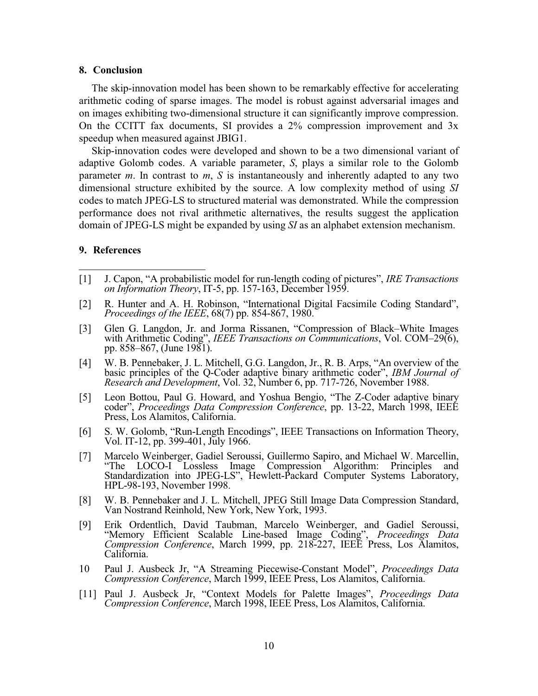#### **8. Conclusion**

The skip-innovation model has been shown to be remarkably effective for accelerating arithmetic coding of sparse images. The model is robust against adversarial images and on images exhibiting two-dimensional structure it can significantly improve compression. On the CCITT fax documents, SI provides a 2% compression improvement and 3x speedup when measured against JBIG1.

Skip-innovation codes were developed and shown to be a two dimensional variant of adaptive Golomb codes. A variable parameter, *S*, plays a similar role to the Golomb parameter *m*. In contrast to *m*, *S* is instantaneously and inherently adapted to any two dimensional structure exhibited by the source. A low complexity method of using *SI* codes to match JPEG-LS to structured material was demonstrated. While the compression performance does not rival arithmetic alternatives, the results suggest the application domain of JPEG-LS might be expanded by using *SI* as an alphabet extension mechanism.

#### **9. References**

- [1] J. Capon, "A probabilistic model for run-length coding of pictures", *IRE Transactions on Information Theory*, IT-5, pp. 157-163, December 1959.
- [2] R. Hunter and A. H. Robinson, "International Digital Facsimile Coding Standard", *Proceedings of the IEEE*, 68(7) pp. 854-867, 1980.
- [3] Glen G. Langdon, Jr. and Jorma Rissanen, "Compression of Black–White Images with Arithmetic Coding", *IEEE Transactions on Communications*, Vol. COM–29(6), pp. 858–867, (June 1981).
- [4] W. B. Pennebaker, J. L. Mitchell, G.G. Langdon, Jr., R. B. Arps, "An overview of the basic principles of the Q-Coder adaptive binary arithmetic coder", *IBM Journal of Research and Development*, Vol. 32, Number 6, pp. 717-726, November 1988.
- [5] Leon Bottou, Paul G. Howard, and Yoshua Bengio, "The Z-Coder adaptive binary coder", *Proceedings Data Compression Conference*, pp. 13-22, March 1998, IEEE Press, Los Alamitos, California.
- [6] S. W. Golomb, "Run-Length Encodings", IEEE Transactions on Information Theory, Vol. IT-12, pp. 399-401, July 1966.
- [7] Marcelo Weinberger, Gadiel Seroussi, Guillermo Sapiro, and Michael W. Marcellin, "The LOCO-I Lossless Image Compression Algorithm: Principles Standardization into JPEG-LS", Hewlett-Packard Computer Systems Laboratory, HPL-98-193, November 1998.
- [8] W. B. Pennebaker and J. L. Mitchell, JPEG Still Image Data Compression Standard, Van Nostrand Reinhold, New York, New York, 1993.
- [9] Erik Ordentlich, David Taubman, Marcelo Weinberger, and Gadiel Seroussi, "Memory Efficient Scalable Line-based Image Coding", *Proceedings Data Compression Conference*, March 1999, pp. 218-227, IEEE Press, Los Alamitos, California.
- 10 Paul J. Ausbeck Jr, "A Streaming Piecewise-Constant Model", *Proceedings Data Compression Conference*, March 1999, IEEE Press, Los Alamitos, California.
- [11] Paul J. Ausbeck Jr, "Context Models for Palette Images", *Proceedings Data Compression Conference*, March 1998, IEEE Press, Los Alamitos, California.